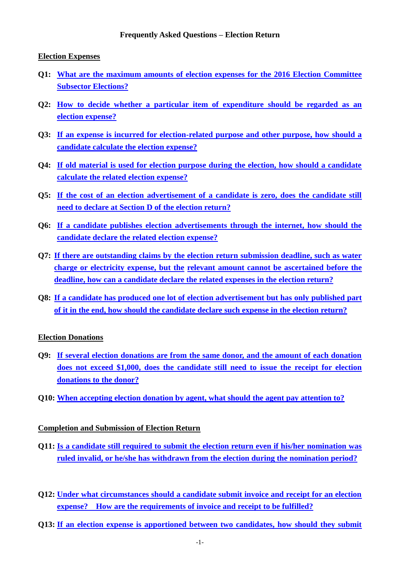## **Frequently Asked Questions – Election Return**

## <span id="page-0-0"></span>**Election Expenses**

- **Q1: What are the maximum amounts [of election expenses for the 2016 Election](#page-2-0) Committee [Subsector Elections?](#page-2-0)**
- **Q2: How to decide whether a [particular item of expenditure should be regarded](#page-2-1) as an [election expense?](#page-2-1)**
- **Q3: [If an expense is incurred for election-related purpose and other purpose, how should a](#page-3-0)  [candidate calculate the election expense?](#page-3-0)**
- **Q4: [If old material is used for election purpose during the election, how should a candidate](#page-3-1)  [calculate the related election expense?](#page-3-1)**
- **Q5: [If the cost of an election advertisement of a candidate is zero, does the candidate still](#page-3-2)  [need to declare at Section D of the election return?](#page-3-2)**
- **Q6: [If a candidate publishes election advertisements through the internet, how should the](#page-4-0)  candidate [declare the related election expense?](#page-4-0)**
- **Q7: [If there are outstanding claims by the election return submission deadline, such as water](#page-5-0)  [charge or electricity expense, but the](#page-5-0) relevant amount cannot be ascertained before the deadline, how can a candidate [declare the related expenses in the election return?](#page-5-0)**
- **Q8: [If a candidate has produced one lot of election advertisement but has only published part](#page-5-1)  [of it in the end, how should the candidate declare such expense in the election return?](#page-5-1)**

# **Election Donations**

- **Q9: [If several election donations are from the same donor, and the amount of each donation](#page-5-2)  [does not exceed \\$1,000, does the candidate still need to issue](#page-5-2) the receipt for election donations [to the donor?](#page-5-2)**
- **Q10: [When accepting election donation by agent, what should the agent pay](#page-5-3) attention to?**

# **Completion and Submission of Election Return**

- **Q11: [Is a candidate still required to submit the election return even if his/her nomination was](#page-6-0)  [ruled invalid, or he/she has withdrawn from the election during the nomination period?](#page-6-0)**
- **Q12: [Under what circumstances should a candidate submit invoice and receipt for an election](#page-6-1)  expense? How are [the requirements of invoice and receipt](#page-6-1) to be fulfilled?**
- **Q13: [If an election expense is apportioned between](#page-6-2) two candidates, how should they submit**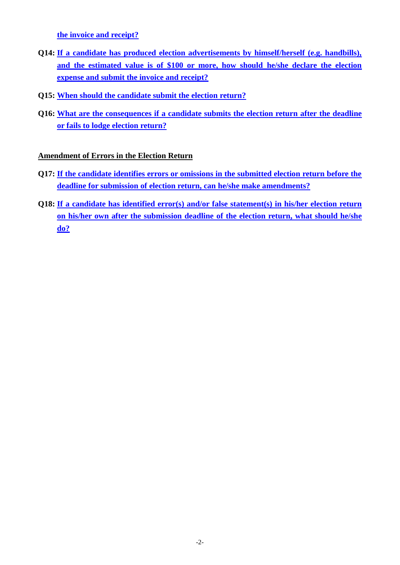**[the invoice and receipt?](#page-6-2)**

- **Q14: [If a candidate has produced election advertisements by himself/herself \(e.g. handbills\),](#page-7-0)  [and the estimated value is of \\$100 or more, how should he/she declare the election](#page-7-0)  [expense and submit the invoice and receipt?](#page-7-0)**
- **Q15: [When should the candidate submit the election return?](#page-7-1)**
- **Q16: [What are the consequences if a candidate submits the election return after the deadline](#page-7-2)  or fails to lodge [election return?](#page-7-2)**

## **Amendment of Errors in the Election Return**

- **Q17: If the [candidate identifies errors or omissions in the submitted election return before the](#page-8-0)  [deadline for submission of election return, can he/she make amendments?](#page-8-0)**
- **Q18: [If a candidate has identified error\(s\) and/or false statement\(s\) in his/her](#page-8-1) election return [on his/her own after the submission deadline](#page-8-1) of the election return, what should he/she [do?](#page-8-1)**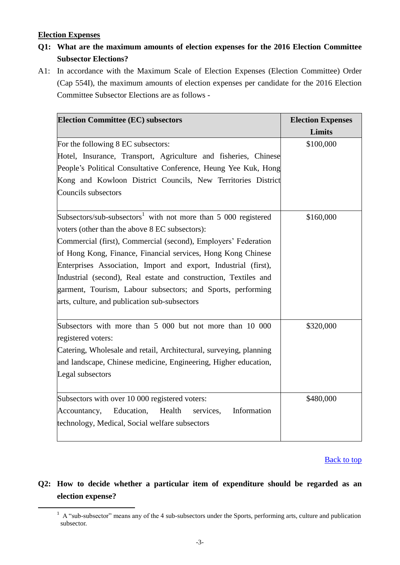# **Election Expenses**

-

- <span id="page-2-0"></span>**Q1: What are the maximum amounts of election expenses for the 2016 Election Committee Subsector Elections?**
- A1: In accordance with the Maximum Scale of Election Expenses (Election Committee) Order (Cap 554I), the maximum amounts of election expenses per candidate for the 2016 Election Committee Subsector Elections are as follows -

| <b>Election Committee (EC) subsectors</b>                                                                                                                                                                                                                                                                                                                                                                                                                           | <b>Election Expenses</b> |
|---------------------------------------------------------------------------------------------------------------------------------------------------------------------------------------------------------------------------------------------------------------------------------------------------------------------------------------------------------------------------------------------------------------------------------------------------------------------|--------------------------|
|                                                                                                                                                                                                                                                                                                                                                                                                                                                                     | Limits                   |
| For the following 8 EC subsectors:                                                                                                                                                                                                                                                                                                                                                                                                                                  | \$100,000                |
| Hotel, Insurance, Transport, Agriculture and fisheries, Chinese                                                                                                                                                                                                                                                                                                                                                                                                     |                          |
| People's Political Consultative Conference, Heung Yee Kuk, Hong                                                                                                                                                                                                                                                                                                                                                                                                     |                          |
| Kong and Kowloon District Councils, New Territories District                                                                                                                                                                                                                                                                                                                                                                                                        |                          |
| Councils subsectors                                                                                                                                                                                                                                                                                                                                                                                                                                                 |                          |
| Subsectors/sub-subsectors <sup>1</sup> with not more than 5 000 registered<br>voters (other than the above 8 EC subsectors):<br>Commercial (first), Commercial (second), Employers' Federation<br>of Hong Kong, Finance, Financial services, Hong Kong Chinese<br>Enterprises Association, Import and export, Industrial (first),<br>Industrial (second), Real estate and construction, Textiles and<br>garment, Tourism, Labour subsectors; and Sports, performing | \$160,000                |
| arts, culture, and publication sub-subsectors                                                                                                                                                                                                                                                                                                                                                                                                                       |                          |
| Subsectors with more than 5 000 but not more than 10 000<br>registered voters:<br>Catering, Wholesale and retail, Architectural, surveying, planning<br>and landscape, Chinese medicine, Engineering, Higher education,<br>Legal subsectors                                                                                                                                                                                                                         | \$320,000                |
| Subsectors with over 10 000 registered voters:<br>Education,<br>Health<br>Information<br>Accountancy,<br>services,<br>technology, Medical, Social welfare subsectors                                                                                                                                                                                                                                                                                                | \$480,000                |

## [Back to top](#page-0-0)

# <span id="page-2-1"></span>**Q2: How to decide whether a particular item of expenditure should be regarded as an election expense?**

<sup>&</sup>lt;sup>1</sup> A "sub-subsector" means any of the 4 sub-subsectors under the Sports, performing arts, culture and publication subsector.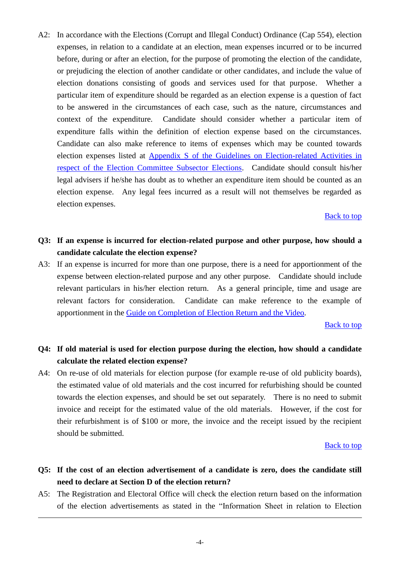A2: In accordance with the Elections (Corrupt and Illegal Conduct) Ordinance (Cap 554), election expenses, in relation to a candidate at an election, mean expenses incurred or to be incurred before, during or after an election, for the purpose of promoting the election of the candidate, or prejudicing the election of another candidate or other candidates, and include the value of election donations consisting of goods and services used for that purpose. Whether a particular item of expenditure should be regarded as an election expense is a question of fact to be answered in the circumstances of each case, such as the nature, circumstances and context of the expenditure. Candidate should consider whether a particular item of expenditure falls within the definition of election expense based on the circumstances. Candidate can also make reference to items of expenses which may be counted towards election expenses listed at Appendix S [of the Guidelines on Election-related Activities in](http://www.eac.gov.hk/pdf/ecse/en/2016ecse/guidelines/2016ecse_Appendix_s.pdf)  respect of the Election [Committee Subsector Elections.](http://www.eac.gov.hk/pdf/ecse/en/2016ecse/guidelines/2016ecse_Appendix_s.pdf) Candidate should consult his/her legal advisers if he/she has doubt as to whether an expenditure item should be counted as an election expense. Any legal fees incurred as a result will not themselves be regarded as election expenses.

#### [Back to top](#page-0-0)

# <span id="page-3-0"></span>**Q3: If an expense is incurred for election-related purpose and other purpose, how should a candidate calculate the election expense?**

A3: If an expense is incurred for more than one purpose, there is a need for apportionment of the expense between election-related purpose and any other purpose. Candidate should include relevant particulars in his/her election return. As a general principle, time and usage are relevant factors for consideration. Candidate can make reference to the example of apportionment in the [Guide on Completion of Election Return and the Video.](http://www.elections.gov.hk/ecss2016/eng/er.html)

#### [Back to top](#page-0-0)

# <span id="page-3-1"></span>**Q4: If old material is used for election purpose during the election, how should a candidate calculate the related election expense?**

A4: On re-use of old materials for election purpose (for example re-use of old publicity boards), the estimated value of old materials and the cost incurred for refurbishing should be counted towards the election expenses, and should be set out separately. There is no need to submit invoice and receipt for the estimated value of the old materials. However, if the cost for their refurbishment is of \$100 or more, the invoice and the receipt issued by the recipient should be submitted.

#### [Back to top](#page-0-0)

- <span id="page-3-2"></span>**Q5: If the cost of an election advertisement of a candidate is zero, does the candidate still need to declare at Section D of the election return?**
- A5: The Registration and Electoral Office will check the election return based on the information of the election advertisements as stated in the "Information Sheet in relation to Election

-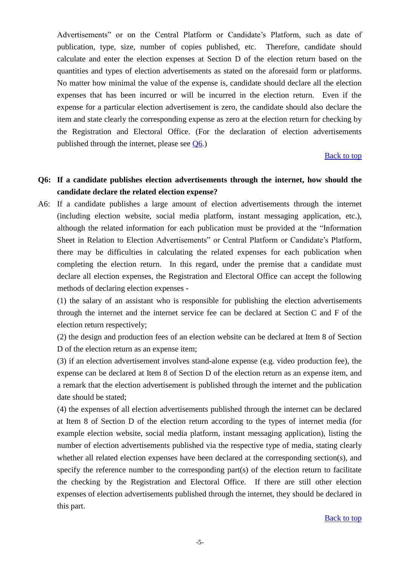Advertisements" or on the Central Platform or Candidate's Platform, such as date of publication, type, size, number of copies published, etc. Therefore, candidate should calculate and enter the election expenses at Section D of the election return based on the quantities and types of election advertisements as stated on the aforesaid form or platforms. No matter how minimal the value of the expense is, candidate should declare all the election expenses that has been incurred or will be incurred in the election return. Even if the expense for a particular election advertisement is zero, the candidate should also declare the item and state clearly the corresponding expense as zero at the election return for checking by the Registration and Electoral Office. (For the declaration of election advertisements published through the internet, please see [Q6.](#page-4-0))

#### **[Back to top](#page-0-0)**

# <span id="page-4-0"></span>**Q6: If a candidate publishes election advertisements through the internet, how should the candidate declare the related election expense?**

A6: If a candidate publishes a large amount of election advertisements through the internet (including election website, social media platform, instant messaging application, etc.), although the related information for each publication must be provided at the "Information Sheet in Relation to Election Advertisements" or Central Platform or Candidate's Platform, there may be difficulties in calculating the related expenses for each publication when completing the election return. In this regard, under the premise that a candidate must declare all election expenses, the Registration and Electoral Office can accept the following methods of declaring election expenses -

(1) the salary of an assistant who is responsible for publishing the election advertisements through the internet and the internet service fee can be declared at Section C and F of the election return respectively;

(2) the design and production fees of an election website can be declared at Item 8 of Section D of the election return as an expense item;

(3) if an election advertisement involves stand-alone expense (e.g. video production fee), the expense can be declared at Item 8 of Section D of the election return as an expense item, and a remark that the election advertisement is published through the internet and the publication date should be stated;

(4) the expenses of all election advertisements published through the internet can be declared at Item 8 of Section D of the election return according to the types of internet media (for example election website, social media platform, instant messaging application), listing the number of election advertisements published via the respective type of media, stating clearly whether all related election expenses have been declared at the corresponding section(s), and specify the reference number to the corresponding part(s) of the election return to facilitate the checking by the Registration and Electoral Office. If there are still other election expenses of election advertisements published through the internet, they should be declared in this part.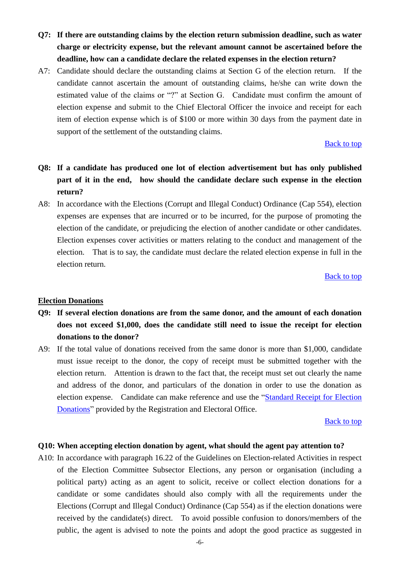- <span id="page-5-0"></span>**Q7: If there are outstanding claims by the election return submission deadline, such as water charge or electricity expense, but the relevant amount cannot be ascertained before the deadline, how can a candidate declare the related expenses in the election return?**
- A7: Candidate should declare the outstanding claims at Section G of the election return. If the candidate cannot ascertain the amount of outstanding claims, he/she can write down the estimated value of the claims or "?" at Section G. Candidate must confirm the amount of election expense and submit to the Chief Electoral Officer the invoice and receipt for each item of election expense which is of \$100 or more within 30 days from the payment date in support of the settlement of the outstanding claims.

### [Back to top](#page-0-0)

- <span id="page-5-1"></span>**Q8: If a candidate has produced one lot of election advertisement but has only published part of it in the end, how should the candidate declare such expense in the election return?**
- A8: In accordance with the Elections (Corrupt and Illegal Conduct) Ordinance (Cap 554), election expenses are expenses that are incurred or to be incurred, for the purpose of promoting the election of the candidate, or prejudicing the election of another candidate or other candidates. Election expenses cover activities or matters relating to the conduct and management of the election. That is to say, the candidate must declare the related election expense in full in the election return.

#### [Back to top](#page-0-0)

#### **Election Donations**

- <span id="page-5-2"></span>**Q9: If several election donations are from the same donor, and the amount of each donation does not exceed \$1,000, does the candidate still need to issue the receipt for election donations to the donor?**
- A9: If the total value of donations received from the same donor is more than \$1,000, candidate must issue receipt to the donor, the copy of receipt must be submitted together with the election return. Attention is drawn to the fact that, the receipt must set out clearly the name and address of the donor, and particulars of the donation in order to use the donation as election expense. Candidate can make reference and use the ["Standard Receipt for Election](http://www.elections.gov.hk/ecss2016/eng/er.html)  [Donations"](http://www.elections.gov.hk/ecss2016/eng/er.html) provided by the Registration and Electoral Office.

#### [Back to top](#page-0-0)

## <span id="page-5-3"></span>**Q10: When accepting election donation by agent, what should the agent pay attention to?**

A10: In accordance with paragraph 16.22 of the Guidelines on Election-related Activities in respect of the Election Committee Subsector Elections, any person or organisation (including a political party) acting as an agent to solicit, receive or collect election donations for a candidate or some candidates should also comply with all the requirements under the Elections (Corrupt and Illegal Conduct) Ordinance (Cap 554) as if the election donations were received by the candidate(s) direct. To avoid possible confusion to donors/members of the public, the agent is advised to note the points and adopt the good practice as suggested in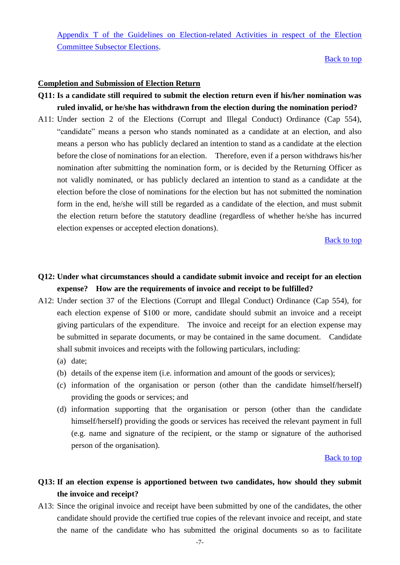Appendix T [of the Guidelines on Election-related Activities in respect of the Election](http://www.eac.gov.hk/pdf/ecse/en/2016ecse/guidelines/2016ecse_Appendix_t.pdf) [Committee Subsector Elections.](http://www.eac.gov.hk/pdf/ecse/en/2016ecse/guidelines/2016ecse_Appendix_t.pdf)

[Back to top](#page-0-0)

#### **Completion and Submission of Election Return**

- <span id="page-6-0"></span>**Q11: Is a candidate still required to submit the election return even if his/her nomination was ruled invalid, or he/she has withdrawn from the election during the nomination period?**
- A11: Under section 2 of the Elections (Corrupt and Illegal Conduct) Ordinance (Cap 554), "candidate" means a person who stands nominated as a candidate at an election, and also means a person who has publicly declared an intention to stand as a candidate at the election before the close of nominations for an election. Therefore, even if a person withdraws his/her nomination after submitting the nomination form, or is decided by the Returning Officer as not validly nominated, or has publicly declared an intention to stand as a candidate at the election before the close of nominations for the election but has not submitted the nomination form in the end, he/she will still be regarded as a candidate of the election, and must submit the election return before the statutory deadline (regardless of whether he/she has incurred election expenses or accepted election donations).

[Back to top](#page-0-0)

# <span id="page-6-1"></span>**Q12: Under what circumstances should a candidate submit invoice and receipt for an election expense? How are the requirements of invoice and receipt to be fulfilled?**

- A12: Under section 37 of the Elections (Corrupt and Illegal Conduct) Ordinance (Cap 554), for each election expense of \$100 or more, candidate should submit an invoice and a receipt giving particulars of the expenditure. The invoice and receipt for an election expense may be submitted in separate documents, or may be contained in the same document. Candidate shall submit invoices and receipts with the following particulars, including:
	- (a) date;
	- (b) details of the expense item (i.e. information and amount of the goods or services);
	- (c) information of the organisation or person (other than the candidate himself/herself) providing the goods or services; and
	- (d) information supporting that the organisation or person (other than the candidate himself/herself) providing the goods or services has received the relevant payment in full (e.g. name and signature of the recipient, or the stamp or signature of the authorised person of the organisation).

#### [Back to top](#page-0-0)

# <span id="page-6-2"></span>**Q13: If an election expense is apportioned between two candidates, how should they submit the invoice and receipt?**

A13: Since the original invoice and receipt have been submitted by one of the candidates, the other candidate should provide the certified true copies of the relevant invoice and receipt, and state the name of the candidate who has submitted the original documents so as to facilitate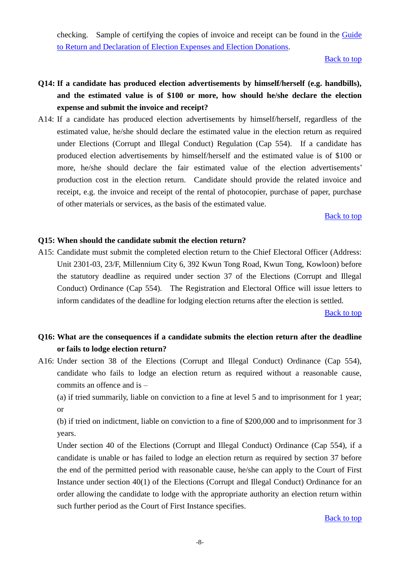checking. Sample of certifying the copies of invoice and receipt can be found in the [Guide](http://www.elections.gov.hk/ecss2016/eng/er.html)  [to Return and Declaration of Election Expenses and Election Donations.](http://www.elections.gov.hk/ecss2016/eng/er.html)

#### [Back to top](#page-0-0)

- <span id="page-7-0"></span>**Q14: If a candidate has produced election advertisements by himself/herself (e.g. handbills), and the estimated value is of \$100 or more, how should he/she declare the election expense and submit the invoice and receipt?**
- A14: If a candidate has produced election advertisements by himself/herself, regardless of the estimated value, he/she should declare the estimated value in the election return as required under Elections (Corrupt and Illegal Conduct) Regulation (Cap 554). If a candidate has produced election advertisements by himself/herself and the estimated value is of \$100 or more, he/she should declare the fair estimated value of the election advertisements' production cost in the election return. Candidate should provide the related invoice and receipt, e.g. the invoice and receipt of the rental of photocopier, purchase of paper, purchase of other materials or services, as the basis of the estimated value.

#### [Back to top](#page-0-0)

## <span id="page-7-1"></span>**Q15: When should the candidate submit the election return?**

A15: Candidate must submit the completed election return to the Chief Electoral Officer (Address: Unit 2301-03, 23/F, Millennium City 6, 392 Kwun Tong Road, Kwun Tong, Kowloon) before the statutory deadline as required under section 37 of the Elections (Corrupt and Illegal Conduct) Ordinance (Cap 554). The Registration and Electoral Office will issue letters to inform candidates of the deadline for lodging election returns after the election is settled.

[Back to top](#page-0-0)

# <span id="page-7-2"></span>**Q16: What are the consequences if a candidate submits the election return after the deadline or fails to lodge election return?**

A16: Under section 38 of the Elections (Corrupt and Illegal Conduct) Ordinance (Cap 554), candidate who fails to lodge an election return as required without a reasonable cause, commits an offence and is –

(a) if tried summarily, liable on conviction to a fine at level 5 and to imprisonment for 1 year; or

(b) if tried on indictment, liable on conviction to a fine of \$200,000 and to imprisonment for 3 years.

Under section 40 of the Elections (Corrupt and Illegal Conduct) Ordinance (Cap 554), if a candidate is unable or has failed to lodge an election return as required by section 37 before the end of the permitted period with reasonable cause, he/she can apply to the Court of First Instance under section 40(1) of the Elections (Corrupt and Illegal Conduct) Ordinance for an order allowing the candidate to lodge with the appropriate authority an election return within such further period as the Court of First Instance specifies.

[Back to top](#page-0-0)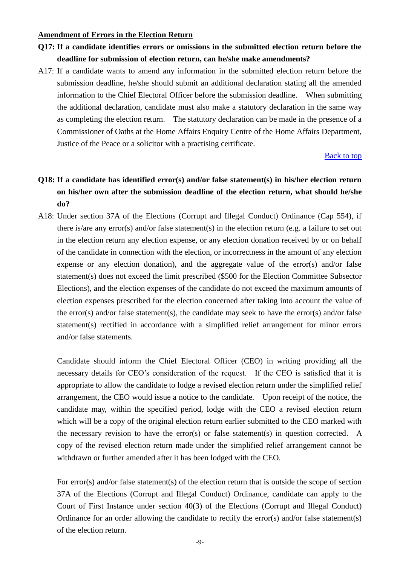## **Amendment of Errors in the Election Return**

- <span id="page-8-0"></span>**Q17: If a candidate identifies errors or omissions in the submitted election return before the deadline for submission of election return, can he/she make amendments?**
- A17: If a candidate wants to amend any information in the submitted election return before the submission deadline, he/she should submit an additional declaration stating all the amended information to the Chief Electoral Officer before the submission deadline. When submitting the additional declaration, candidate must also make a statutory declaration in the same way as completing the election return. The statutory declaration can be made in the presence of a Commissioner of Oaths at the Home Affairs Enquiry Centre of the Home Affairs Department, Justice of the Peace or a solicitor with a practising certificate.

#### **[Back to top](#page-0-0)**

# <span id="page-8-1"></span>**Q18: If a candidate has identified error(s) and/or false statement(s) in his/her election return on his/her own after the submission deadline of the election return, what should he/she do?**

A18: Under section 37A of the Elections (Corrupt and Illegal Conduct) Ordinance (Cap 554), if there is/are any error(s) and/or false statement(s) in the election return (e.g. a failure to set out in the election return any election expense, or any election donation received by or on behalf of the candidate in connection with the election, or incorrectness in the amount of any election expense or any election donation), and the aggregate value of the error(s) and/or false statement(s) does not exceed the limit prescribed (\$500 for the Election Committee Subsector Elections), and the election expenses of the candidate do not exceed the maximum amounts of election expenses prescribed for the election concerned after taking into account the value of the error(s) and/or false statement(s), the candidate may seek to have the error(s) and/or false statement(s) rectified in accordance with a simplified relief arrangement for minor errors and/or false statements.

Candidate should inform the Chief Electoral Officer (CEO) in writing providing all the necessary details for CEO's consideration of the request. If the CEO is satisfied that it is appropriate to allow the candidate to lodge a revised election return under the simplified relief arrangement, the CEO would issue a notice to the candidate. Upon receipt of the notice, the candidate may, within the specified period, lodge with the CEO a revised election return which will be a copy of the original election return earlier submitted to the CEO marked with the necessary revision to have the error(s) or false statement(s) in question corrected. A copy of the revised election return made under the simplified relief arrangement cannot be withdrawn or further amended after it has been lodged with the CEO.

For error(s) and/or false statement(s) of the election return that is outside the scope of section 37A of the Elections (Corrupt and Illegal Conduct) Ordinance, candidate can apply to the Court of First Instance under section 40(3) of the Elections (Corrupt and Illegal Conduct) Ordinance for an order allowing the candidate to rectify the error(s) and/or false statement(s) of the election return.